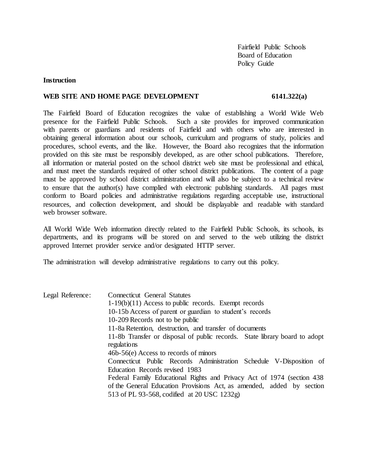Fairfield Public Schools Board of Education Policy Guide

### **Instruction**

### WEB SITE AND HOME PAGE DEVELOPMENT 6141.322(a)

The Fairfield Board of Education recognizes the value of establishing a World Wide Web presence for the Fairfield Public Schools. Such a site provides for improved communication with parents or guardians and residents of Fairfield and with others who are interested in obtaining general information about our schools, curriculum and programs of study, policies and procedures, school events, and the like. However, the Board also recognizes that the information provided on this site must be responsibly developed, as are other school publications. Therefore, all information or material posted on the school district web site must be professional and ethical, and must meet the standards required of other school district publications. The content of a page must be approved by school district administration and will also be subject to a technical review to ensure that the author(s) have complied with electronic publishing standards. All pages must conform to Board policies and administrative regulations regarding acceptable use, instructional resources, and collection development, and should be displayable and readable with standard web browser software

All World Wide Web information directly related to the Fairfield Public Schools, its schools, its departments, and its programs will be stored on and served to the web utilizing the district approved Internet provider service and/or designated HTTP server.

The administration will develop administrative regulations to carry out this policy.

| Legal Reference: | <b>Connecticut General Statutes</b>                                        |
|------------------|----------------------------------------------------------------------------|
|                  | $1-19(b)(11)$ Access to public records. Exempt records                     |
|                  | 10-15b Access of parent or guardian to student's records                   |
|                  | 10-209 Records not to be public                                            |
|                  | 11-8a Retention, destruction, and transfer of documents                    |
|                  | 11-8b Transfer or disposal of public records. State library board to adopt |
|                  | regulations                                                                |
|                  | 46b-56(e) Access to records of minors                                      |
|                  | Connecticut Public Records Administration Schedule V-Disposition of        |
|                  | Education Records revised 1983                                             |
|                  | Federal Family Educational Rights and Privacy Act of 1974 (section 438)    |
|                  | of the General Education Provisions Act, as amended, added by section      |
|                  | 513 of PL 93-568, codified at 20 USC 1232g)                                |